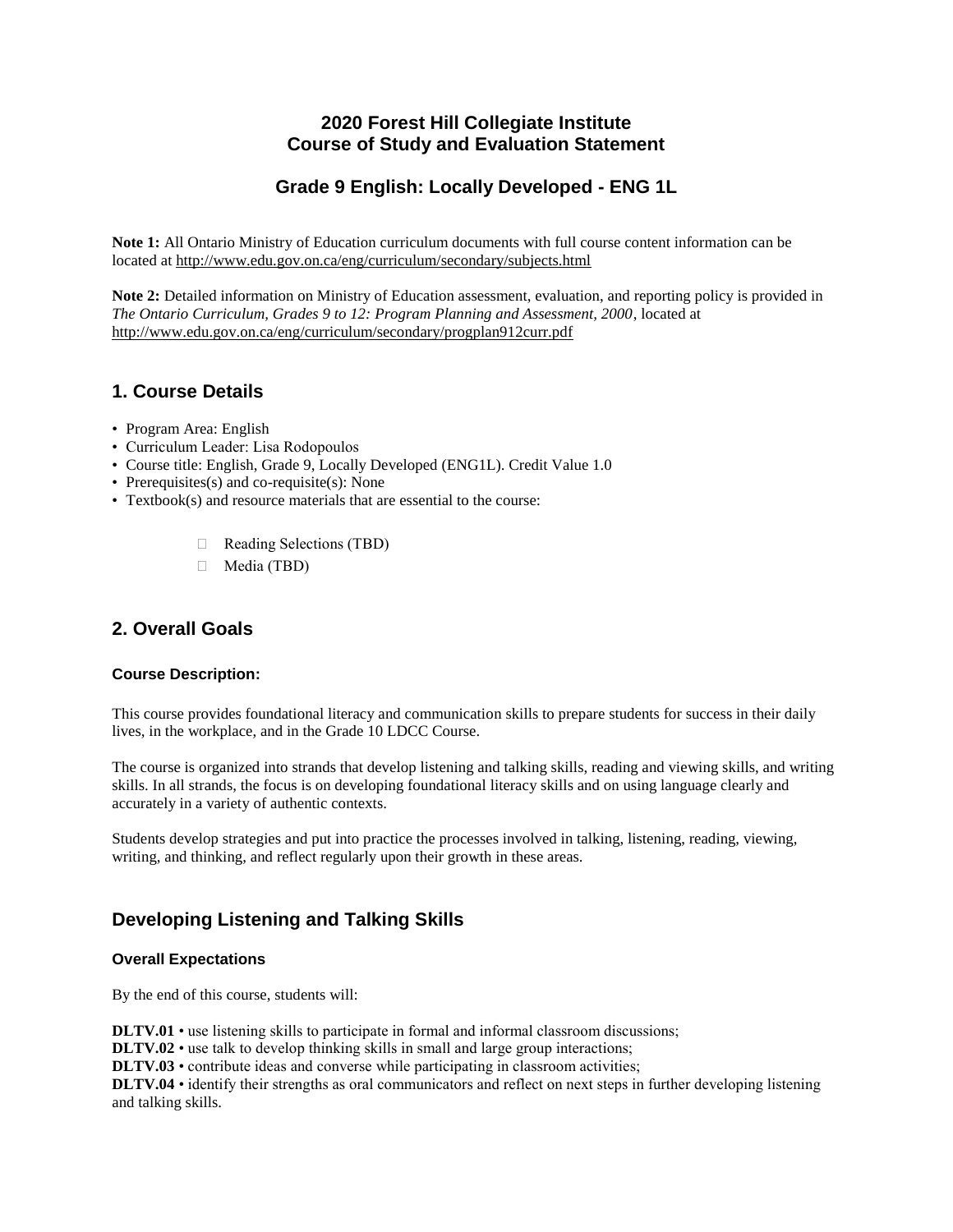## **2020 Forest Hill Collegiate Institute Course of Study and Evaluation Statement**

# **Grade 9 English: Locally Developed - ENG 1L**

**Note 1:** All Ontario Ministry of Education curriculum documents with full course content information can be located at http://www.edu.gov.on.ca/eng/curriculum/secondary/subjects.html

**Note 2:** Detailed information on Ministry of Education assessment, evaluation, and reporting policy is provided in *The Ontario Curriculum, Grades 9 to 12: Program Planning and Assessment, 2000*, located at http://www.edu.gov.on.ca/eng/curriculum/secondary/progplan912curr.pdf

## **1. Course Details**

- Program Area: English
- Curriculum Leader: Lisa Rodopoulos
- Course title: English, Grade 9, Locally Developed (ENG1L). Credit Value 1.0
- Prerequisites(s) and co-requisite(s): None
- Textbook(s) and resource materials that are essential to the course:
	- ⮚ Reading Selections (TBD)
	- ⮚ Media (TBD)

# **2. Overall Goals**

### **Course Description:**

This course provides foundational literacy and communication skills to prepare students for success in their daily lives, in the workplace, and in the Grade 10 LDCC Course.

The course is organized into strands that develop listening and talking skills, reading and viewing skills, and writing skills. In all strands, the focus is on developing foundational literacy skills and on using language clearly and accurately in a variety of authentic contexts.

Students develop strategies and put into practice the processes involved in talking, listening, reading, viewing, writing, and thinking, and reflect regularly upon their growth in these areas.

## **Developing Listening and Talking Skills**

### **Overall Expectations**

By the end of this course, students will:

**DLTV.01** • use listening skills to participate in formal and informal classroom discussions;

**DLTV.02** • use talk to develop thinking skills in small and large group interactions;

**DLTV.03** • contribute ideas and converse while participating in classroom activities;

**DLTV.04** • identify their strengths as oral communicators and reflect on next steps in further developing listening and talking skills.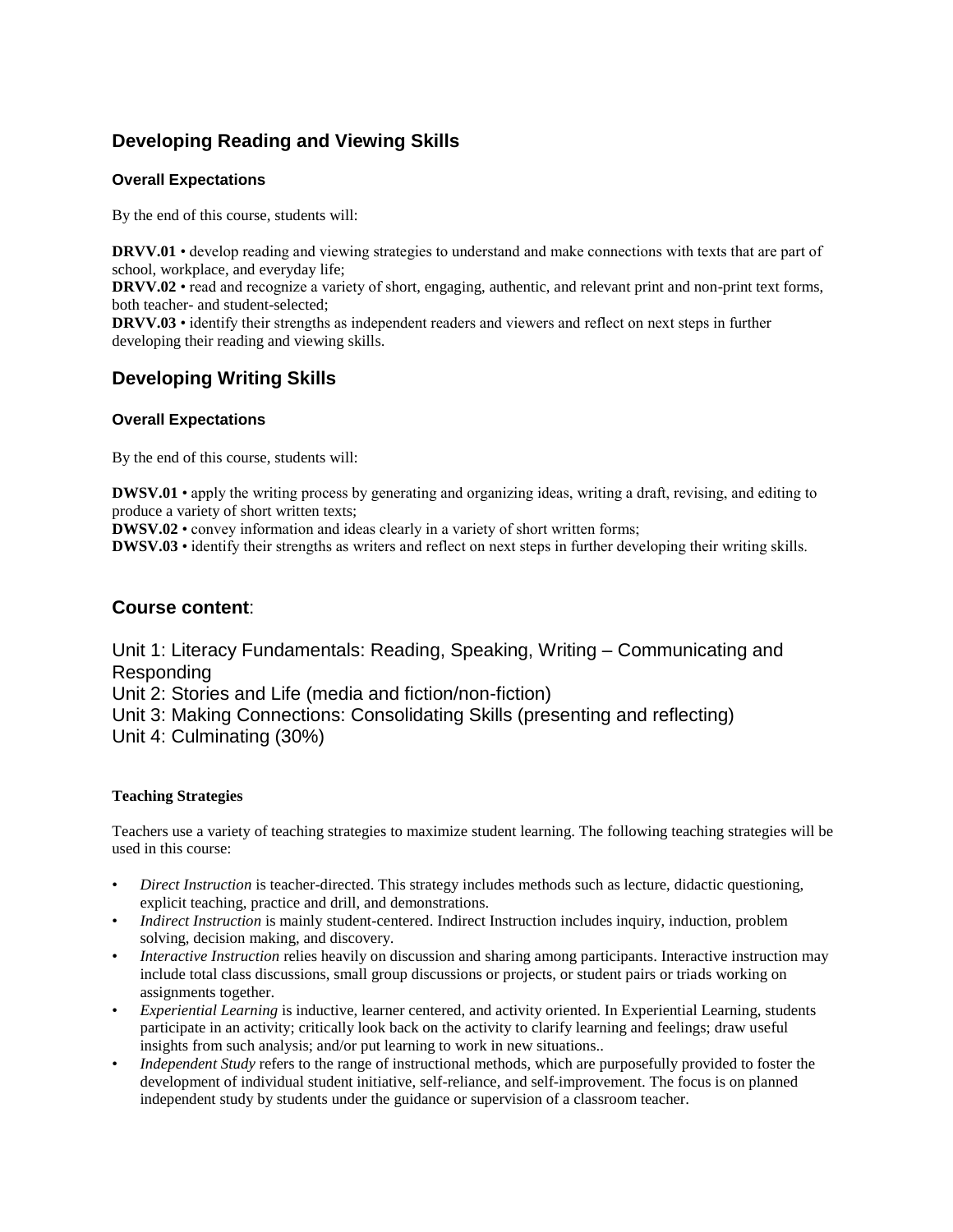# **Developing Reading and Viewing Skills**

## **Overall Expectations**

By the end of this course, students will:

**DRVV.01** • develop reading and viewing strategies to understand and make connections with texts that are part of school, workplace, and everyday life;

**DRVV.02** • read and recognize a variety of short, engaging, authentic, and relevant print and non-print text forms, both teacher- and student-selected;

**DRVV.03** • identify their strengths as independent readers and viewers and reflect on next steps in further developing their reading and viewing skills.

# **Developing Writing Skills**

## **Overall Expectations**

By the end of this course, students will:

**DWSV.01** • apply the writing process by generating and organizing ideas, writing a draft, revising, and editing to produce a variety of short written texts;

**DWSV.02** • convey information and ideas clearly in a variety of short written forms;

**DWSV.03** • identify their strengths as writers and reflect on next steps in further developing their writing skills.

## **Course content**:

Unit 1: Literacy Fundamentals: Reading, Speaking, Writing – Communicating and Responding Unit 2: Stories and Life (media and fiction/non-fiction) Unit 3: Making Connections: Consolidating Skills (presenting and reflecting) Unit 4: Culminating (30%)

### **Teaching Strategies**

Teachers use a variety of teaching strategies to maximize student learning. The following teaching strategies will be used in this course:

- *Direct Instruction* is teacher-directed. This strategy includes methods such as lecture, didactic questioning, explicit teaching, practice and drill, and demonstrations.
- *Indirect Instruction* is mainly student-centered. Indirect Instruction includes inquiry, induction, problem solving, decision making, and discovery.
- *Interactive Instruction* relies heavily on discussion and sharing among participants. Interactive instruction may include total class discussions, small group discussions or projects, or student pairs or triads working on assignments together.
- *Experiential Learning* is inductive, learner centered, and activity oriented. In Experiential Learning, students participate in an activity; critically look back on the activity to clarify learning and feelings; draw useful insights from such analysis; and/or put learning to work in new situations..
- *Independent Study* refers to the range of instructional methods, which are purposefully provided to foster the development of individual student initiative, self-reliance, and self-improvement. The focus is on planned independent study by students under the guidance or supervision of a classroom teacher.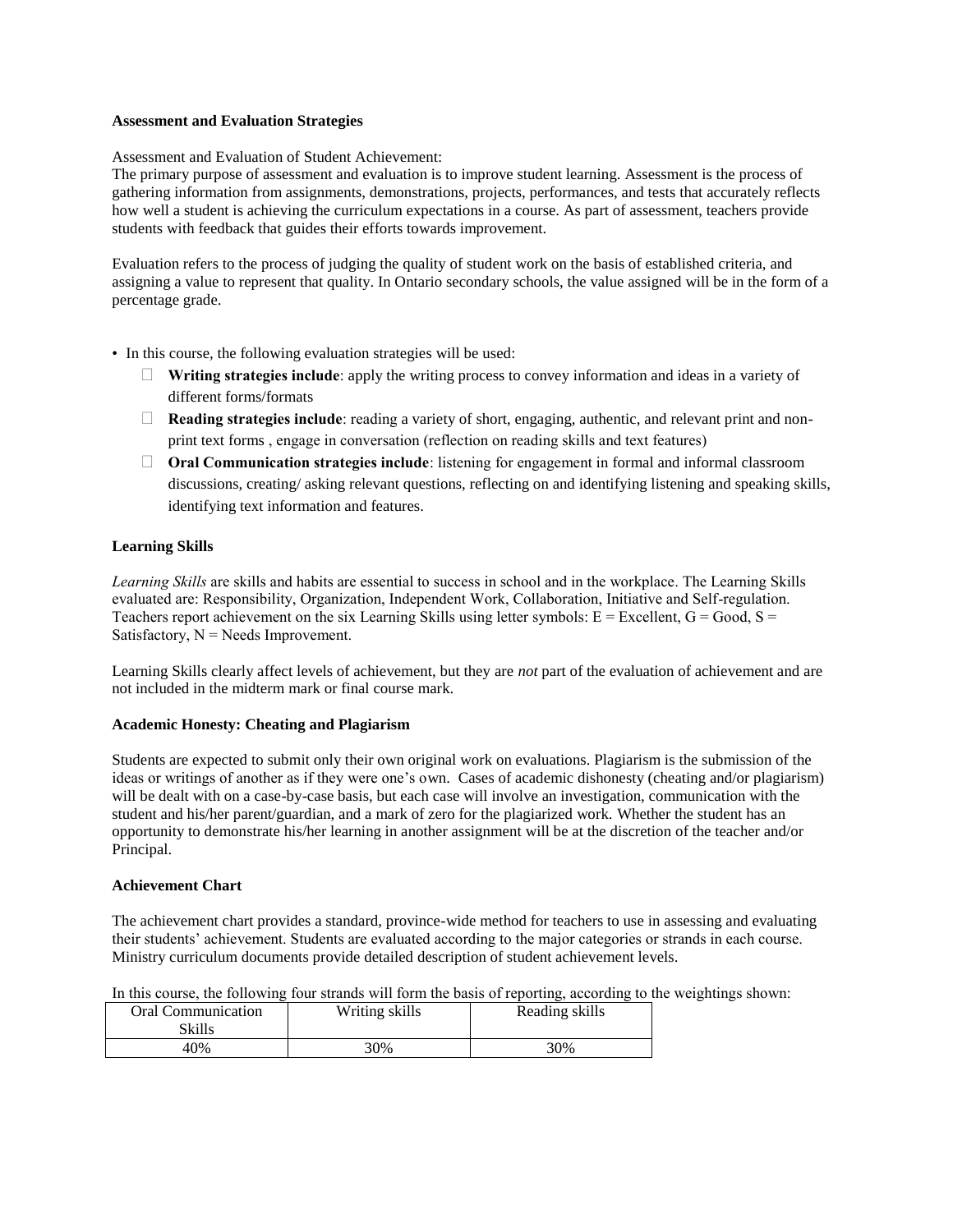#### **Assessment and Evaluation Strategies**

Assessment and Evaluation of Student Achievement:

The primary purpose of assessment and evaluation is to improve student learning. Assessment is the process of gathering information from assignments, demonstrations, projects, performances, and tests that accurately reflects how well a student is achieving the curriculum expectations in a course. As part of assessment, teachers provide students with feedback that guides their efforts towards improvement.

Evaluation refers to the process of judging the quality of student work on the basis of established criteria, and assigning a value to represent that quality. In Ontario secondary schools, the value assigned will be in the form of a percentage grade.

- In this course, the following evaluation strategies will be used:
	- ⮚ **Writing strategies include**: apply the writing process to convey information and ideas in a variety of different forms/formats
	- □ **Reading strategies include**: reading a variety of short, engaging, authentic, and relevant print and nonprint text forms , engage in conversation (reflection on reading skills and text features)
	- □ **Oral Communication strategies include**: listening for engagement in formal and informal classroom discussions, creating/ asking relevant questions, reflecting on and identifying listening and speaking skills, identifying text information and features.

#### **Learning Skills**

*Learning Skills* are skills and habits are essential to success in school and in the workplace. The Learning Skills evaluated are: Responsibility, Organization, Independent Work, Collaboration, Initiative and Self-regulation. Teachers report achievement on the six Learning Skills using letter symbols:  $E = Excellent$ ,  $G = Good$ ,  $S =$ Satisfactory,  $N =$  Needs Improvement.

Learning Skills clearly affect levels of achievement, but they are *not* part of the evaluation of achievement and are not included in the midterm mark or final course mark.

#### **Academic Honesty: Cheating and Plagiarism**

Students are expected to submit only their own original work on evaluations. Plagiarism is the submission of the ideas or writings of another as if they were one's own. Cases of academic dishonesty (cheating and/or plagiarism) will be dealt with on a case-by-case basis, but each case will involve an investigation, communication with the student and his/her parent/guardian, and a mark of zero for the plagiarized work. Whether the student has an opportunity to demonstrate his/her learning in another assignment will be at the discretion of the teacher and/or Principal.

#### **Achievement Chart**

The achievement chart provides a standard, province-wide method for teachers to use in assessing and evaluating their students' achievement. Students are evaluated according to the major categories or strands in each course. Ministry curriculum documents provide detailed description of student achievement levels.

|  |  |  |  |  |  |  |  | In this course, the following four strands will form the basis of reporting, according to the weightings shown: |  |
|--|--|--|--|--|--|--|--|-----------------------------------------------------------------------------------------------------------------|--|
|  |  |  |  |  |  |  |  |                                                                                                                 |  |

| <b>Oral Communication</b><br>Skills | Writing skills | Reading skills |
|-------------------------------------|----------------|----------------|
| 40%                                 | 30%            | 30%            |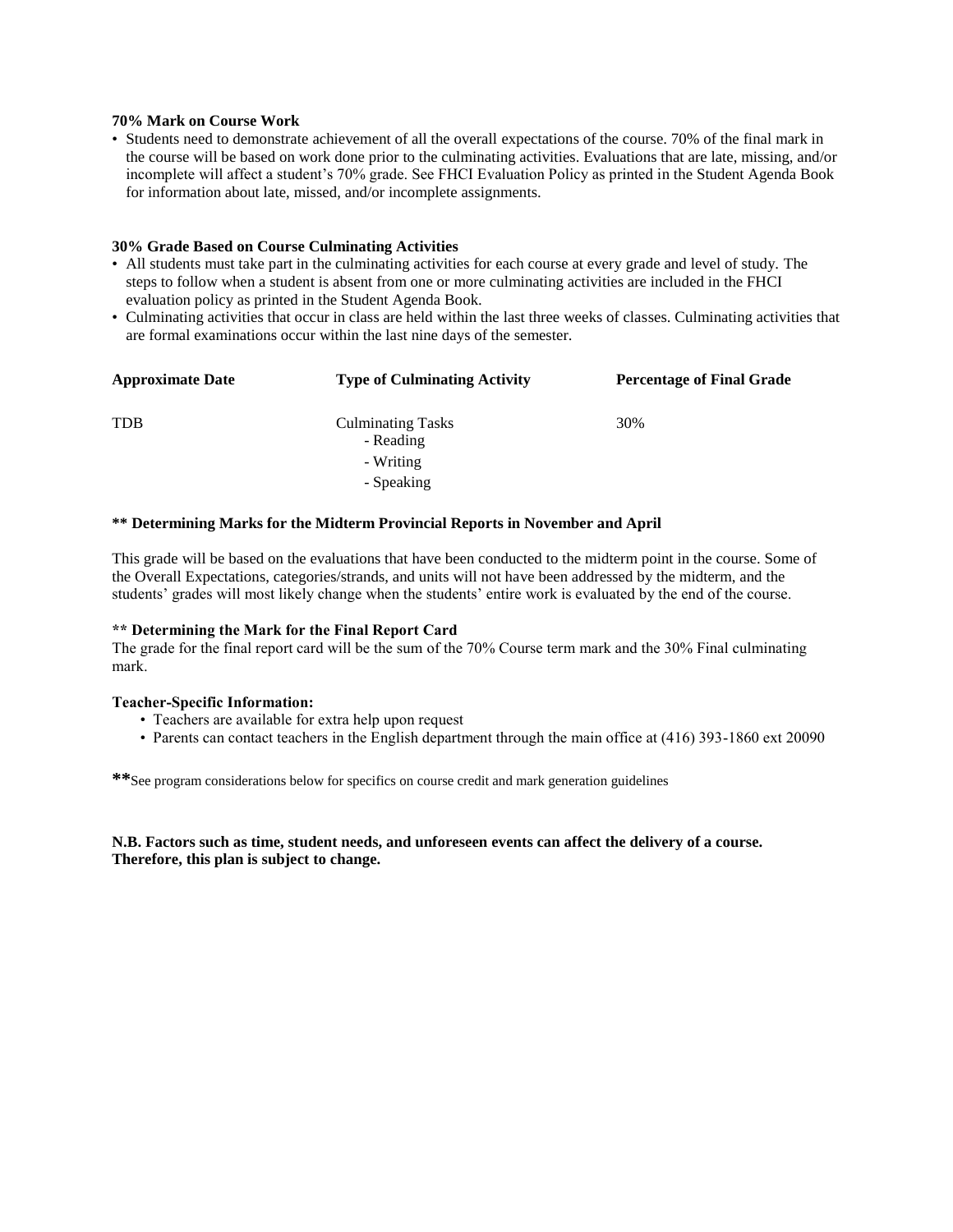#### **70% Mark on Course Work**

• Students need to demonstrate achievement of all the overall expectations of the course. 70% of the final mark in the course will be based on work done prior to the culminating activities. Evaluations that are late, missing, and/or incomplete will affect a student's 70% grade. See FHCI Evaluation Policy as printed in the Student Agenda Book for information about late, missed, and/or incomplete assignments.

#### **30% Grade Based on Course Culminating Activities**

- All students must take part in the culminating activities for each course at every grade and level of study. The steps to follow when a student is absent from one or more culminating activities are included in the FHCI evaluation policy as printed in the Student Agenda Book.
- Culminating activities that occur in class are held within the last three weeks of classes. Culminating activities that are formal examinations occur within the last nine days of the semester.

| <b>Approximate Date</b> | <b>Type of Culminating Activity</b>   | <b>Percentage of Final Grade</b> |  |  |
|-------------------------|---------------------------------------|----------------------------------|--|--|
| <b>TDB</b>              | <b>Culminating Tasks</b><br>- Reading | 30%                              |  |  |
|                         | - Writing                             |                                  |  |  |
|                         | - Speaking                            |                                  |  |  |

#### **\*\* Determining Marks for the Midterm Provincial Reports in November and April**

This grade will be based on the evaluations that have been conducted to the midterm point in the course. Some of the Overall Expectations, categories/strands, and units will not have been addressed by the midterm, and the students' grades will most likely change when the students' entire work is evaluated by the end of the course.

### **\*\* Determining the Mark for the Final Report Card**

The grade for the final report card will be the sum of the 70% Course term mark and the 30% Final culminating mark.

#### **Teacher-Specific Information:**

- Teachers are available for extra help upon request
- Parents can contact teachers in the English department through the main office at (416) 393-1860 ext 20090

**\*\***See program considerations below for specifics on course credit and mark generation guidelines

#### **N.B. Factors such as time, student needs, and unforeseen events can affect the delivery of a course. Therefore, this plan is subject to change.**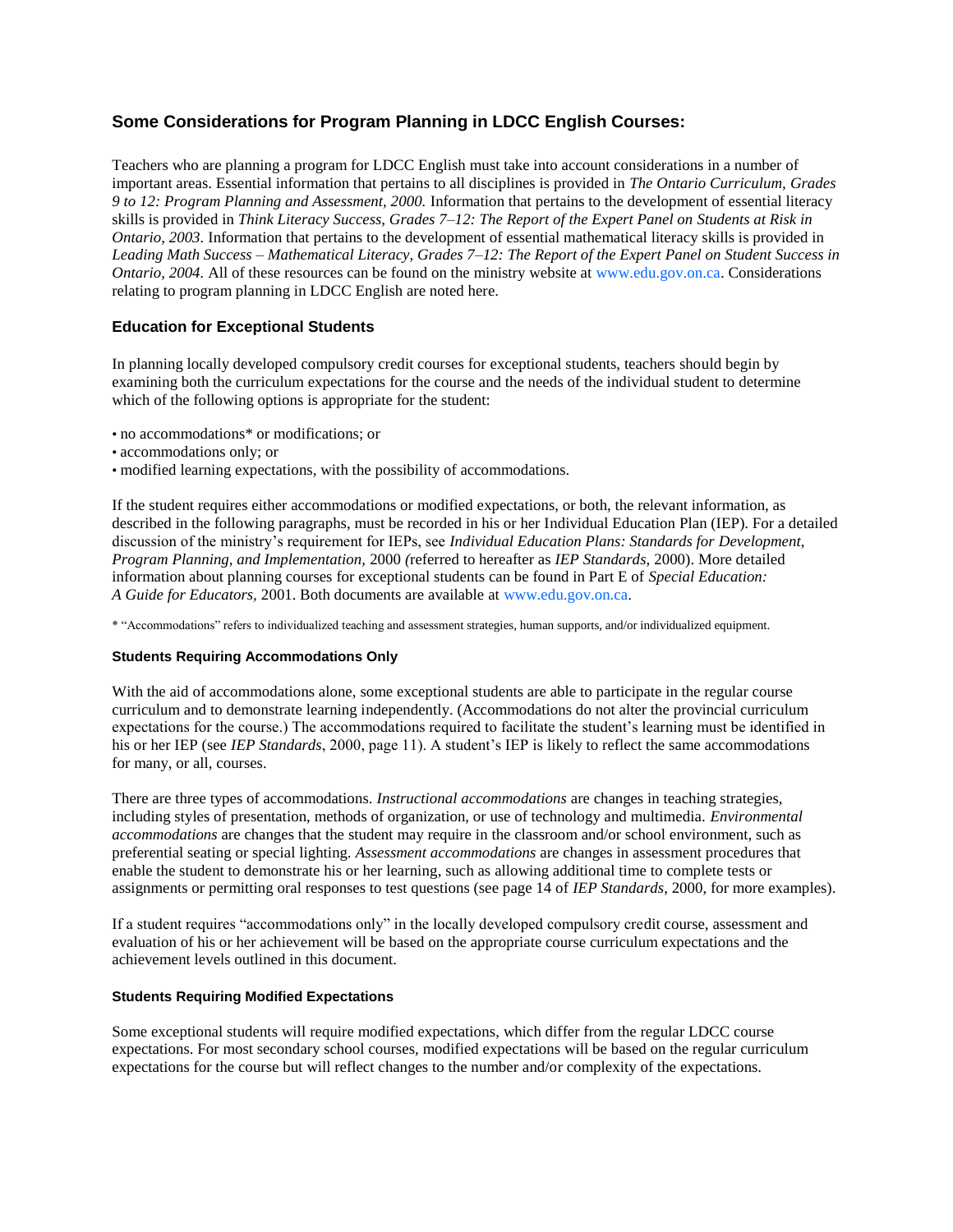## **Some Considerations for Program Planning in LDCC English Courses:**

Teachers who are planning a program for LDCC English must take into account considerations in a number of important areas. Essential information that pertains to all disciplines is provided in *The Ontario Curriculum, Grades 9 to 12: Program Planning and Assessment, 2000.* Information that pertains to the development of essential literacy skills is provided in *Think Literacy Success, Grades 7*–*12: The Report of the Expert Panel on Students at Risk in Ontario, 2003.* Information that pertains to the development of essential mathematical literacy skills is provided in *Leading Math Success* – *Mathematical Literacy, Grades 7*–*12: The Report of the Expert Panel on Student Success in Ontario, 2004.* All of these resources can be found on the ministry website at www.edu.gov.on.ca. Considerations relating to program planning in LDCC English are noted here.

## **Education for Exceptional Students**

In planning locally developed compulsory credit courses for exceptional students, teachers should begin by examining both the curriculum expectations for the course and the needs of the individual student to determine which of the following options is appropriate for the student:

- no accommodations\* or modifications; or
- accommodations only; or
- modified learning expectations, with the possibility of accommodations.

If the student requires either accommodations or modified expectations, or both, the relevant information, as described in the following paragraphs, must be recorded in his or her Individual Education Plan (IEP). For a detailed discussion of the ministry's requirement for IEPs, see *Individual Education Plans: Standards for Development, Program Planning, and Implementation,* 2000 *(*referred to hereafter as *IEP Standards,* 2000). More detailed information about planning courses for exceptional students can be found in Part E of *Special Education: A Guide for Educators,* 2001. Both documents are available at www.edu.gov.on.ca.

\* "Accommodations" refers to individualized teaching and assessment strategies, human supports, and/or individualized equipment.

#### **Students Requiring Accommodations Only**

With the aid of accommodations alone, some exceptional students are able to participate in the regular course curriculum and to demonstrate learning independently. (Accommodations do not alter the provincial curriculum expectations for the course.) The accommodations required to facilitate the student's learning must be identified in his or her IEP (see *IEP Standards*, 2000, page 11). A student's IEP is likely to reflect the same accommodations for many, or all, courses.

There are three types of accommodations. *Instructional accommodations* are changes in teaching strategies, including styles of presentation, methods of organization, or use of technology and multimedia. *Environmental accommodations* are changes that the student may require in the classroom and/or school environment, such as preferential seating or special lighting. *Assessment accommodations* are changes in assessment procedures that enable the student to demonstrate his or her learning, such as allowing additional time to complete tests or assignments or permitting oral responses to test questions (see page 14 of *IEP Standards*, 2000, for more examples).

If a student requires "accommodations only" in the locally developed compulsory credit course, assessment and evaluation of his or her achievement will be based on the appropriate course curriculum expectations and the achievement levels outlined in this document.

#### **Students Requiring Modified Expectations**

Some exceptional students will require modified expectations, which differ from the regular LDCC course expectations. For most secondary school courses, modified expectations will be based on the regular curriculum expectations for the course but will reflect changes to the number and/or complexity of the expectations.